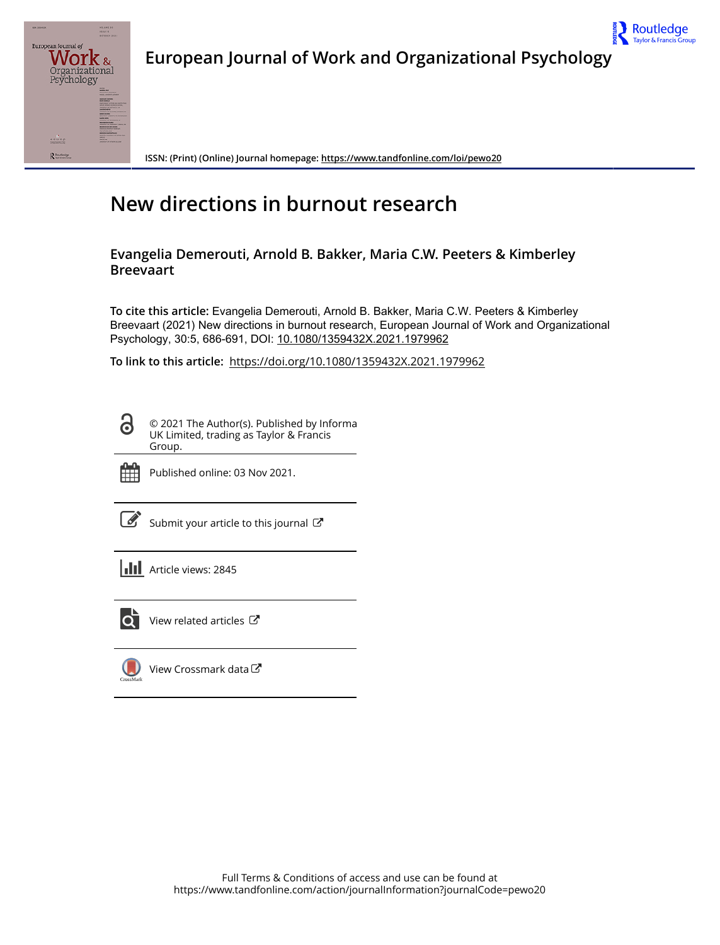

**European Journal of Work and Organizational Psychology**



**ISSN: (Print) (Online) Journal homepage:<https://www.tandfonline.com/loi/pewo20>**

# **New directions in burnout research**

**Evangelia Demerouti, Arnold B. Bakker, Maria C.W. Peeters & Kimberley Breevaart**

**To cite this article:** Evangelia Demerouti, Arnold B. Bakker, Maria C.W. Peeters & Kimberley Breevaart (2021) New directions in burnout research, European Journal of Work and Organizational Psychology, 30:5, 686-691, DOI: [10.1080/1359432X.2021.1979962](https://www.tandfonline.com/action/showCitFormats?doi=10.1080/1359432X.2021.1979962)

**To link to this article:** <https://doi.org/10.1080/1359432X.2021.1979962>

© 2021 The Author(s). Published by Informa UK Limited, trading as Taylor & Francis Group.



 $\bf \ddot{\rm o}$ 

Published online: 03 Nov 2021.

 $\overrightarrow{S}$  [Submit your article to this journal](https://www.tandfonline.com/action/authorSubmission?journalCode=pewo20&show=instructions)  $\overrightarrow{S}$ 

|  | <b>III</b> Article views: 2845 |
|--|--------------------------------|
|--|--------------------------------|



[View related articles](https://www.tandfonline.com/doi/mlt/10.1080/1359432X.2021.1979962)  $\mathbb{Z}$ 



[View Crossmark data](http://crossmark.crossref.org/dialog/?doi=10.1080/1359432X.2021.1979962&domain=pdf&date_stamp=2021-11-03)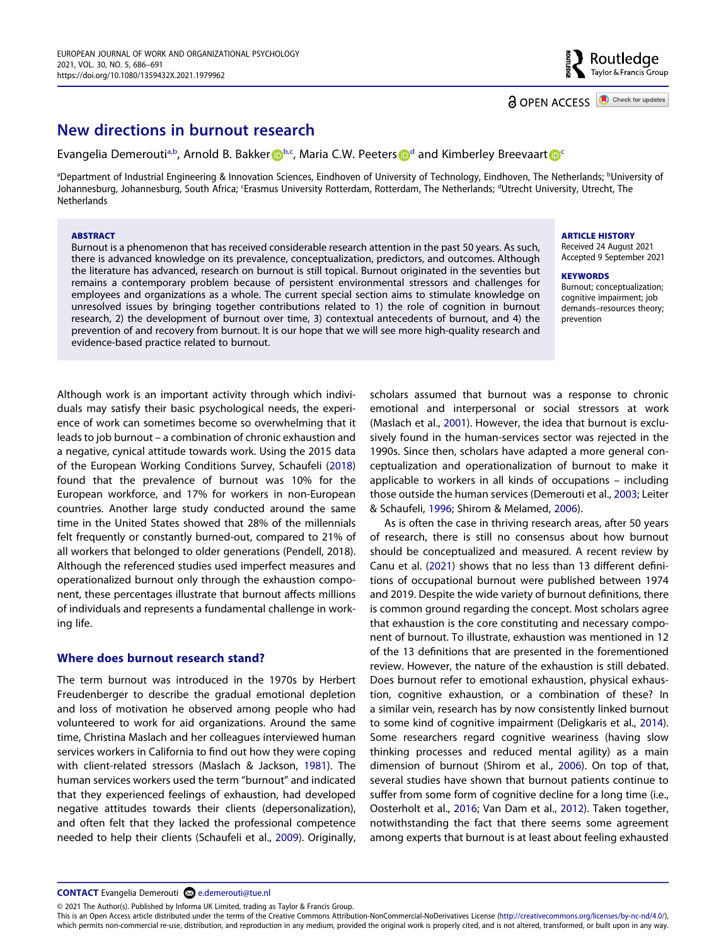# outledge? سے<br>Taylor & Francis Group

# **New directions in burnout research**

Evangelia Demerouti<sup>a,[b](#page-1-0)</[s](http://orcid.org/0000-0001-7383-686X)up>, Arnol[d](#page-1-1) B. Bakker **D**<sup>b[,c](#page-1-1)</sup>, Maria C.W. Peeters **D**<sup>d</sup> and Kimberley Breevaart **D**<sup>[c](#page-1-1)</sup>

<span id="page-1-1"></span><span id="page-1-0"></span>ªDepartment of Industrial Engineering & Innovation Sciences, Eindhoven of University of Technology, Eindhoven, The Netherlands; <sup>b</sup>University of Johannesburg, Johannesburg, South Africa; 'Erasmus University Rotterdam, Rotterdam, The Netherlands; <sup>a</sup>Utrecht University, Utrecht, The **Netherlands** 

#### **ABSTRACT**

Burnout is a phenomenon that has received considerable research attention in the past 50 years. As such, there is advanced knowledge on its prevalence, conceptualization, predictors, and outcomes. Although the literature has advanced, research on burnout is still topical. Burnout originated in the seventies but remains a contemporary problem because of persistent environmental stressors and challenges for employees and organizations as a whole. The current special section aims to stimulate knowledge on unresolved issues by bringing together contributions related to 1) the role of cognition in burnout research, 2) the development of burnout over time, 3) contextual antecedents of burnout, and 4) the prevention of and recovery from burnout. It is our hope that we will see more high-quality research and evidence-based practice related to burnout.

<span id="page-1-9"></span>Although work is an important activity through which individuals may satisfy their basic psychological needs, the experience of work can sometimes become so overwhelming that it leads to job burnout – a combination of chronic exhaustion and a negative, cynical attitude towards work. Using the 2015 data of the European Working Conditions Survey, Schaufeli ([2018](#page-6-0)) found that the prevalence of burnout was 10% for the European workforce, and 17% for workers in non-European countries. Another large study conducted around the same time in the United States showed that 28% of the millennials felt frequently or constantly burned-out, compared to 21% of all workers that belonged to older generations (Pendell, 2018). Although the referenced studies used imperfect measures and operationalized burnout only through the exhaustion component, these percentages illustrate that burnout affects millions of individuals and represents a fundamental challenge in working life.

# **Where does burnout research stand?**

<span id="page-1-6"></span>The term burnout was introduced in the 1970s by Herbert Freudenberger to describe the gradual emotional depletion and loss of motivation he observed among people who had volunteered to work for aid organizations. Around the same time, Christina Maslach and her colleagues interviewed human services workers in California to find out how they were coping with client-related stressors (Maslach & Jackson, [1981\)](#page-6-1). The human services workers used the term "burnout" and indicated that they experienced feelings of exhaustion, had developed negative attitudes towards their clients (depersonalization), and often felt that they lacked the professional competence needed to help their clients (Schaufeli et al., [2009\)](#page-6-2). Originally, <span id="page-1-7"></span>scholars assumed that burnout was a response to chronic emotional and interpersonal or social stressors at work (Maslach et al., [2001\)](#page-6-3). However, the idea that burnout is exclusively found in the human-services sector was rejected in the 1990s. Since then, scholars have adapted a more general conceptualization and operationalization of burnout to make it applicable to workers in all kinds of occupations – including those outside the human services (Demerouti et al., [2003;](#page-5-0) Leiter & Schaufeli, [1996](#page-6-4); Shirom & Melamed, [2006\)](#page-6-5).

<span id="page-1-11"></span><span id="page-1-8"></span><span id="page-1-5"></span><span id="page-1-4"></span><span id="page-1-3"></span><span id="page-1-2"></span>As is often the case in thriving research areas, after 50 years of research, there is still no consensus about how burnout should be conceptualized and measured. A recent review by Canu et al. [\(2021\)](#page-5-1) shows that no less than 13 different definitions of occupational burnout were published between 1974 and 2019. Despite the wide variety of burnout definitions, there is common ground regarding the concept. Most scholars agree that exhaustion is the core constituting and necessary component of burnout. To illustrate, exhaustion was mentioned in 12 of the 13 definitions that are presented in the forementioned review. However, the nature of the exhaustion is still debated. Does burnout refer to emotional exhaustion, physical exhaustion, cognitive exhaustion, or a combination of these? In a similar vein, research has by now consistently linked burnout to some kind of cognitive impairment (Deligkaris et al., [2014\)](#page-5-2). Some researchers regard cognitive weariness (having slow thinking processes and reduced mental agility) as a main dimension of burnout (Shirom et al., [2006](#page-6-6)). On top of that, several studies have shown that burnout patients continue to suffer from some form of cognitive decline for a long time (i.e., Oosterholt et al., [2016;](#page-6-7) Van Dam et al., [2012](#page-6-8)). Taken together, notwithstanding the fact that there seems some agreement among experts that burnout is at least about feeling exhausted

<span id="page-1-10"></span>© 2021 The Author(s). Published by Informa UK Limited, trading as Taylor & Francis Group.

This is an Open Access article distributed under the terms of the Creative Commons Attribution-NonCommercial-NoDerivatives License (http://creativecommons.org/licenses/by-nc-nd/4.0/), which permits non-commercial re-use, distribution, and reproduction in any medium, provided the original work is properly cited, and is not altered, transformed, or built upon in any way.

# **ARTICLE HISTORY**

Received 24 August 2021 Accepted 9 September 2021

#### **KEYWORDS**

Burnout; conceptualization; cognitive impairment; job demands–resources theory; prevention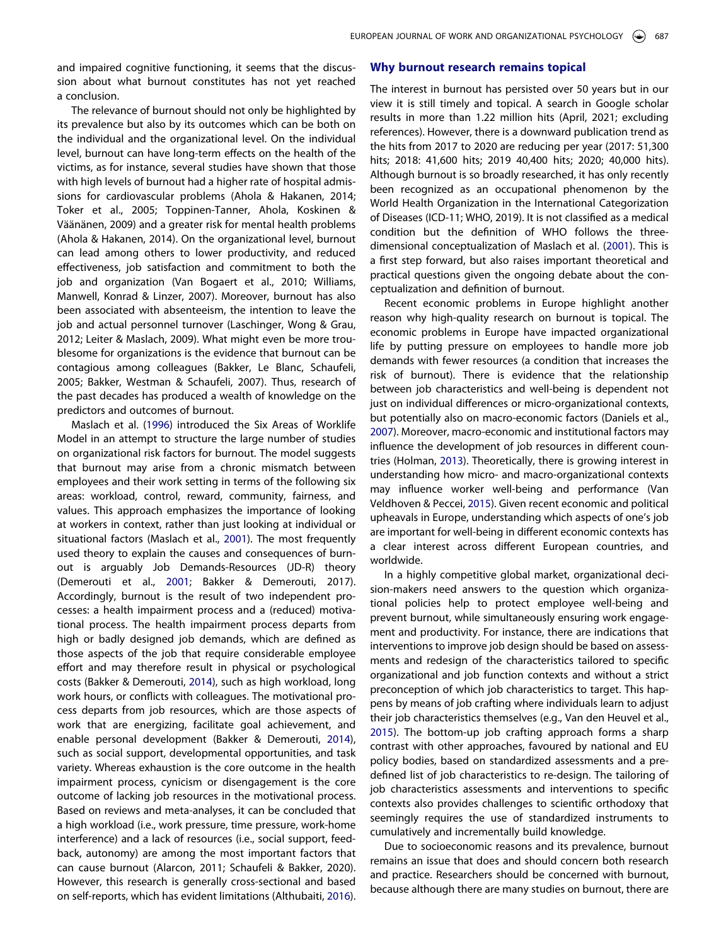and impaired cognitive functioning, it seems that the discussion about what burnout constitutes has not yet reached a conclusion.

The relevance of burnout should not only be highlighted by its prevalence but also by its outcomes which can be both on the individual and the organizational level. On the individual level, burnout can have long-term effects on the health of the victims, as for instance, several studies have shown that those with high levels of burnout had a higher rate of hospital admissions for cardiovascular problems (Ahola & Hakanen, 2014; Toker et al., 2005; Toppinen-Tanner, Ahola, Koskinen & Väänänen, 2009) and a greater risk for mental health problems (Ahola & Hakanen, 2014). On the organizational level, burnout can lead among others to lower productivity, and reduced effectiveness, job satisfaction and commitment to both the job and organization (Van Bogaert et al., 2010; Williams, Manwell, Konrad & Linzer, 2007). Moreover, burnout has also been associated with absenteeism, the intention to leave the job and actual personnel turnover (Laschinger, Wong & Grau, 2012; Leiter & Maslach, 2009). What might even be more troublesome for organizations is the evidence that burnout can be contagious among colleagues (Bakker, Le Blanc, Schaufeli, 2005; Bakker, Westman & Schaufeli, 2007). Thus, research of the past decades has produced a wealth of knowledge on the predictors and outcomes of burnout.

<span id="page-2-5"></span><span id="page-2-3"></span><span id="page-2-1"></span>Maslach et al. ([1996](#page-6-9)) introduced the Six Areas of Worklife Model in an attempt to structure the large number of studies on organizational risk factors for burnout. The model suggests that burnout may arise from a chronic mismatch between employees and their work setting in terms of the following six areas: workload, control, reward, community, fairness, and values. This approach emphasizes the importance of looking at workers in context, rather than just looking at individual or situational factors (Maslach et al., [2001](#page-6-3)). The most frequently used theory to explain the causes and consequences of burnout is arguably Job Demands-Resources (JD-R) theory (Demerouti et al., [2001](#page-5-3); Bakker & Demerouti, 2017). Accordingly, burnout is the result of two independent processes: a health impairment process and a (reduced) motivational process. The health impairment process departs from high or badly designed job demands, which are defined as those aspects of the job that require considerable employee effort and may therefore result in physical or psychological costs (Bakker & Demerouti, [2014](#page-5-4)), such as high workload, long work hours, or conflicts with colleagues. The motivational process departs from job resources, which are those aspects of work that are energizing, facilitate goal achievement, and enable personal development (Bakker & Demerouti, [2014](#page-5-4)), such as social support, developmental opportunities, and task variety. Whereas exhaustion is the core outcome in the health impairment process, cynicism or disengagement is the core outcome of lacking job resources in the motivational process. Based on reviews and meta-analyses, it can be concluded that a high workload (i.e., work pressure, time pressure, work-home interference) and a lack of resources (i.e., social support, feedback, autonomy) are among the most important factors that can cause burnout (Alarcon, 2011; Schaufeli & Bakker, 2020). However, this research is generally cross-sectional and based on self-reports, which has evident limitations (Althubaiti, [2016](#page-5-5)).

## **Why burnout research remains topical**

The interest in burnout has persisted over 50 years but in our view it is still timely and topical. A search in Google scholar results in more than 1.22 million hits (April, 2021; excluding references). However, there is a downward publication trend as the hits from 2017 to 2020 are reducing per year (2017: 51,300 hits; 2018: 41,600 hits; 2019 40,400 hits; 2020; 40,000 hits). Although burnout is so broadly researched, it has only recently been recognized as an occupational phenomenon by the World Health Organization in the International Categorization of Diseases (ICD-11; WHO, 2019). It is not classified as a medical condition but the definition of WHO follows the threedimensional conceptualization of Maslach et al. [\(2001\)](#page-6-3). This is a first step forward, but also raises important theoretical and practical questions given the ongoing debate about the conceptualization and definition of burnout.

<span id="page-2-2"></span>Recent economic problems in Europe highlight another reason why high-quality research on burnout is topical. The economic problems in Europe have impacted organizational life by putting pressure on employees to handle more job demands with fewer resources (a condition that increases the risk of burnout). There is evidence that the relationship between job characteristics and well-being is dependent not just on individual differences or micro-organizational contexts, but potentially also on macro-economic factors (Daniels et al., [2007](#page-5-6)). Moreover, macro-economic and institutional factors may influence the development of job resources in different countries (Holman, [2013\)](#page-6-10). Theoretically, there is growing interest in understanding how micro- and macro-organizational contexts may influence worker well-being and performance (Van Veldhoven & Peccei, [2015](#page-6-11)). Given recent economic and political upheavals in Europe, understanding which aspects of one's job are important for well-being in different economic contexts has a clear interest across different European countries, and worldwide.

<span id="page-2-7"></span><span id="page-2-4"></span>In a highly competitive global market, organizational decision-makers need answers to the question which organizational policies help to protect employee well-being and prevent burnout, while simultaneously ensuring work engagement and productivity. For instance, there are indications that interventions to improve job design should be based on assessments and redesign of the characteristics tailored to specific organizational and job function contexts and without a strict preconception of which job characteristics to target. This happens by means of job crafting where individuals learn to adjust their job characteristics themselves (e.g., Van den Heuvel et al., [2015](#page-6-12)). The bottom-up job crafting approach forms a sharp contrast with other approaches, favoured by national and EU policy bodies, based on standardized assessments and a predefined list of job characteristics to re-design. The tailoring of job characteristics assessments and interventions to specific contexts also provides challenges to scientific orthodoxy that seemingly requires the use of standardized instruments to cumulatively and incrementally build knowledge.

<span id="page-2-6"></span><span id="page-2-0"></span>Due to socioeconomic reasons and its prevalence, burnout remains an issue that does and should concern both research and practice. Researchers should be concerned with burnout, because although there are many studies on burnout, there are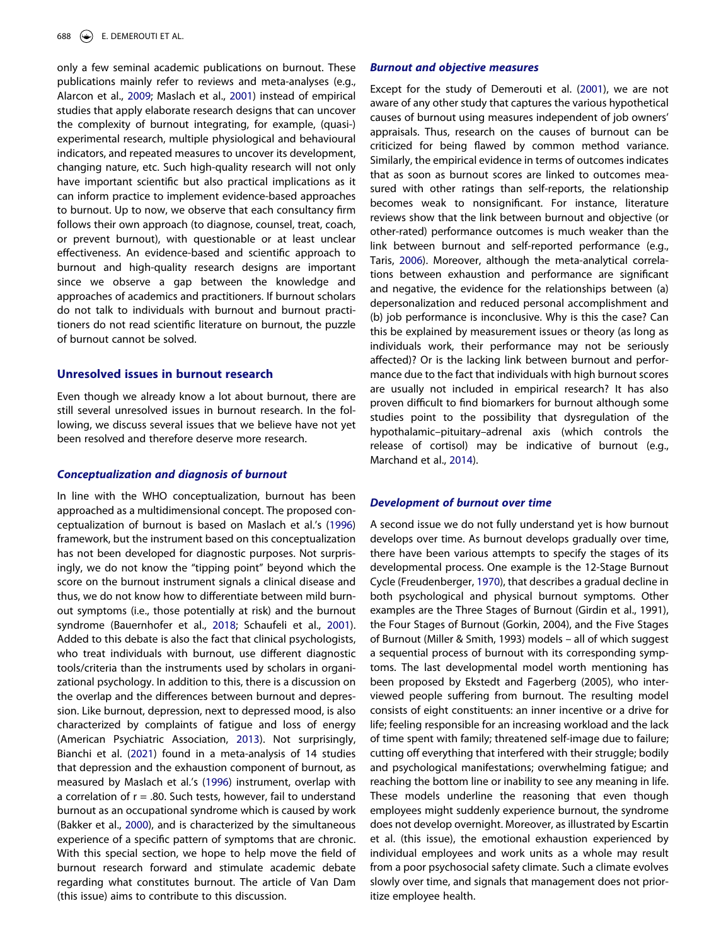<span id="page-3-0"></span>only a few seminal academic publications on burnout. These publications mainly refer to reviews and meta-analyses (e.g., Alarcon et al., [2009;](#page-5-7) Maslach et al., [2001](#page-6-3)) instead of empirical studies that apply elaborate research designs that can uncover the complexity of burnout integrating, for example, (quasi-) experimental research, multiple physiological and behavioural indicators, and repeated measures to uncover its development, changing nature, etc. Such high-quality research will not only have important scientific but also practical implications as it can inform practice to implement evidence-based approaches to burnout. Up to now, we observe that each consultancy firm follows their own approach (to diagnose, counsel, treat, coach, or prevent burnout), with questionable or at least unclear effectiveness. An evidence-based and scientific approach to burnout and high-quality research designs are important since we observe a gap between the knowledge and approaches of academics and practitioners. If burnout scholars do not talk to individuals with burnout and burnout practitioners do not read scientific literature on burnout, the puzzle of burnout cannot be solved.

# **Unresolved issues in burnout research**

Even though we already know a lot about burnout, there are still several unresolved issues in burnout research. In the following, we discuss several issues that we believe have not yet been resolved and therefore deserve more research.

#### *Conceptualization and diagnosis of burnout*

<span id="page-3-4"></span><span id="page-3-3"></span><span id="page-3-2"></span><span id="page-3-1"></span>In line with the WHO conceptualization, burnout has been approached as a multidimensional concept. The proposed conceptualization of burnout is based on Maslach et al.'s ([1996](#page-6-9)) framework, but the instrument based on this conceptualization has not been developed for diagnostic purposes. Not surprisingly, we do not know the "tipping point" beyond which the score on the burnout instrument signals a clinical disease and thus, we do not know how to differentiate between mild burnout symptoms (i.e., those potentially at risk) and the burnout syndrome (Bauernhofer et al., [2018;](#page-5-8) Schaufeli et al., [2001](#page-6-13)). Added to this debate is also the fact that clinical psychologists, who treat individuals with burnout, use different diagnostic tools/criteria than the instruments used by scholars in organizational psychology. In addition to this, there is a discussion on the overlap and the differences between burnout and depression. Like burnout, depression, next to depressed mood, is also characterized by complaints of fatigue and loss of energy (American Psychiatric Association, [2013\)](#page-5-9). Not surprisingly, Bianchi et al. ([2021](#page-5-10)) found in a meta-analysis of 14 studies that depression and the exhaustion component of burnout, as measured by Maslach et al.'s ([1996](#page-6-9)) instrument, overlap with a correlation of  $r = .80$ . Such tests, however, fail to understand burnout as an occupational syndrome which is caused by work (Bakker et al., [2000\)](#page-5-11), and is characterized by the simultaneous experience of a specific pattern of symptoms that are chronic. With this special section, we hope to help move the field of burnout research forward and stimulate academic debate regarding what constitutes burnout. The article of Van Dam (this issue) aims to contribute to this discussion.

# *Burnout and objective measures*

<span id="page-3-7"></span>Except for the study of Demerouti et al. ([2001](#page-5-3)), we are not aware of any other study that captures the various hypothetical causes of burnout using measures independent of job owners' appraisals. Thus, research on the causes of burnout can be criticized for being flawed by common method variance. Similarly, the empirical evidence in terms of outcomes indicates that as soon as burnout scores are linked to outcomes measured with other ratings than self-reports, the relationship becomes weak to nonsignificant. For instance, literature reviews show that the link between burnout and objective (or other-rated) performance outcomes is much weaker than the link between burnout and self-reported performance (e.g., Taris, [2006\)](#page-6-14). Moreover, although the meta-analytical correlations between exhaustion and performance are significant and negative, the evidence for the relationships between (a) depersonalization and reduced personal accomplishment and (b) job performance is inconclusive. Why is this the case? Can this be explained by measurement issues or theory (as long as individuals work, their performance may not be seriously affected)? Or is the lacking link between burnout and performance due to the fact that individuals with high burnout scores are usually not included in empirical research? It has also proven difficult to find biomarkers for burnout although some studies point to the possibility that dysregulation of the hypothalamic–pituitary–adrenal axis (which controls the release of cortisol) may be indicative of burnout (e.g., Marchand et al., [2014\)](#page-6-15).

#### <span id="page-3-6"></span>*Development of burnout over time*

<span id="page-3-5"></span>A second issue we do not fully understand yet is how burnout develops over time. As burnout develops gradually over time, there have been various attempts to specify the stages of its developmental process. One example is the 12-Stage Burnout Cycle (Freudenberger, [1970\)](#page-6-16), that describes a gradual decline in both psychological and physical burnout symptoms. Other examples are the Three Stages of Burnout (Girdin et al., 1991), the Four Stages of Burnout (Gorkin, 2004), and the Five Stages of Burnout (Miller & Smith, 1993) models – all of which suggest a sequential process of burnout with its corresponding symptoms. The last developmental model worth mentioning has been proposed by Ekstedt and Fagerberg (2005), who interviewed people suffering from burnout. The resulting model consists of eight constituents: an inner incentive or a drive for life; feeling responsible for an increasing workload and the lack of time spent with family; threatened self-image due to failure; cutting off everything that interfered with their struggle; bodily and psychological manifestations; overwhelming fatigue; and reaching the bottom line or inability to see any meaning in life. These models underline the reasoning that even though employees might suddenly experience burnout, the syndrome does not develop overnight. Moreover, as illustrated by Escartin et al. (this issue), the emotional exhaustion experienced by individual employees and work units as a whole may result from a poor psychosocial safety climate. Such a climate evolves slowly over time, and signals that management does not prioritize employee health.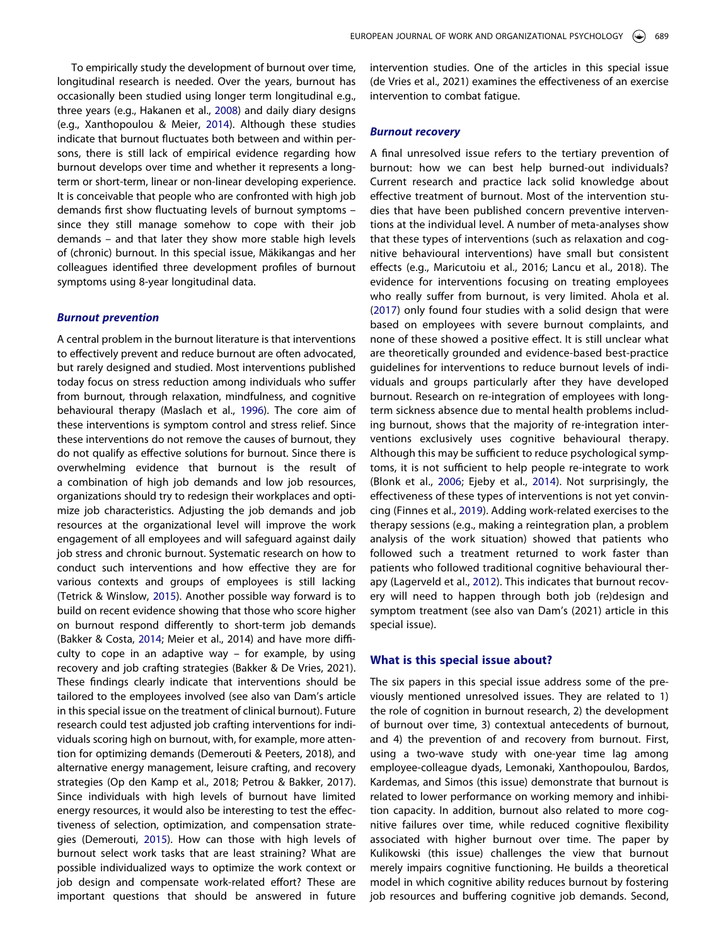<span id="page-4-8"></span><span id="page-4-5"></span>To empirically study the development of burnout over time, longitudinal research is needed. Over the years, burnout has occasionally been studied using longer term longitudinal e.g., three years (e.g., Hakanen et al., [2008\)](#page-6-17) and daily diary designs (e.g., Xanthopoulou & Meier, [2014\)](#page-6-18). Although these studies indicate that burnout fluctuates both between and within persons, there is still lack of empirical evidence regarding how burnout develops over time and whether it represents a longterm or short-term, linear or non-linear developing experience. It is conceivable that people who are confronted with high job demands first show fluctuating levels of burnout symptoms – since they still manage somehow to cope with their job demands – and that later they show more stable high levels of (chronic) burnout. In this special issue, Mäkikangas and her colleagues identified three development profiles of burnout symptoms using 8-year longitudinal data.

#### *Burnout prevention*

<span id="page-4-7"></span><span id="page-4-1"></span>A central problem in the burnout literature is that interventions to effectively prevent and reduce burnout are often advocated, but rarely designed and studied. Most interventions published today focus on stress reduction among individuals who suffer from burnout, through relaxation, mindfulness, and cognitive behavioural therapy (Maslach et al., [1996](#page-6-9)). The core aim of these interventions is symptom control and stress relief. Since these interventions do not remove the causes of burnout, they do not qualify as effective solutions for burnout. Since there is overwhelming evidence that burnout is the result of a combination of high job demands and low job resources, organizations should try to redesign their workplaces and optimize job characteristics. Adjusting the job demands and job resources at the organizational level will improve the work engagement of all employees and will safeguard against daily job stress and chronic burnout. Systematic research on how to conduct such interventions and how effective they are for various contexts and groups of employees is still lacking (Tetrick & Winslow, [2015\)](#page-6-19). Another possible way forward is to build on recent evidence showing that those who score higher on burnout respond differently to short-term job demands (Bakker & Costa, [2014;](#page-5-12) Meier et al., 2014) and have more difficulty to cope in an adaptive way – for example, by using recovery and job crafting strategies (Bakker & De Vries, 2021). These findings clearly indicate that interventions should be tailored to the employees involved (see also van Dam's article in this special issue on the treatment of clinical burnout). Future research could test adjusted job crafting interventions for individuals scoring high on burnout, with, for example, more attention for optimizing demands (Demerouti & Peeters, 2018), and alternative energy management, leisure crafting, and recovery strategies (Op den Kamp et al., 2018; Petrou & Bakker, 2017). Since individuals with high levels of burnout have limited energy resources, it would also be interesting to test the effectiveness of selection, optimization, and compensation strategies (Demerouti, [2015](#page-5-13)). How can those with high levels of burnout select work tasks that are least straining? What are possible individualized ways to optimize the work context or job design and compensate work-related effort? These are important questions that should be answered in future intervention studies. One of the articles in this special issue (de Vries et al., 2021) examines the effectiveness of an exercise intervention to combat fatigue.

### *Burnout recovery*

<span id="page-4-0"></span>A final unresolved issue refers to the tertiary prevention of burnout: how we can best help burned-out individuals? Current research and practice lack solid knowledge about effective treatment of burnout. Most of the intervention studies that have been published concern preventive interventions at the individual level. A number of meta-analyses show that these types of interventions (such as relaxation and cognitive behavioural interventions) have small but consistent effects (e.g., Maricutoiu et al., 2016; Lancu et al., 2018). The evidence for interventions focusing on treating employees who really suffer from burnout, is very limited. Ahola et al. ([2017](#page-5-14)) only found four studies with a solid design that were based on employees with severe burnout complaints, and none of these showed a positive effect. It is still unclear what are theoretically grounded and evidence-based best-practice guidelines for interventions to reduce burnout levels of individuals and groups particularly after they have developed burnout. Research on re-integration of employees with longterm sickness absence due to mental health problems including burnout, shows that the majority of re-integration interventions exclusively uses cognitive behavioural therapy. Although this may be sufficient to reduce psychological symptoms, it is not sufficient to help people re-integrate to work (Blonk et al., [2006](#page-5-15); Ejeby et al., [2014\)](#page-5-16). Not surprisingly, the effectiveness of these types of interventions is not yet convincing (Finnes et al., [2019](#page-6-20)). Adding work-related exercises to the therapy sessions (e.g., making a reintegration plan, a problem analysis of the work situation) showed that patients who followed such a treatment returned to work faster than patients who followed traditional cognitive behavioural therapy (Lagerveld et al., [2012\)](#page-6-21). This indicates that burnout recovery will need to happen through both job (re)design and symptom treatment (see also van Dam's (2021) article in this special issue).

#### <span id="page-4-6"></span><span id="page-4-4"></span><span id="page-4-2"></span>**What is this special issue about?**

<span id="page-4-3"></span>The six papers in this special issue address some of the previously mentioned unresolved issues. They are related to 1) the role of cognition in burnout research, 2) the development of burnout over time, 3) contextual antecedents of burnout, and 4) the prevention of and recovery from burnout. First, using a two-wave study with one-year time lag among employee-colleague dyads, Lemonaki, Xanthopoulou, Bardos, Kardemas, and Simos (this issue) demonstrate that burnout is related to lower performance on working memory and inhibition capacity. In addition, burnout also related to more cognitive failures over time, while reduced cognitive flexibility associated with higher burnout over time. The paper by Kulikowski (this issue) challenges the view that burnout merely impairs cognitive functioning. He builds a theoretical model in which cognitive ability reduces burnout by fostering job resources and buffering cognitive job demands. Second,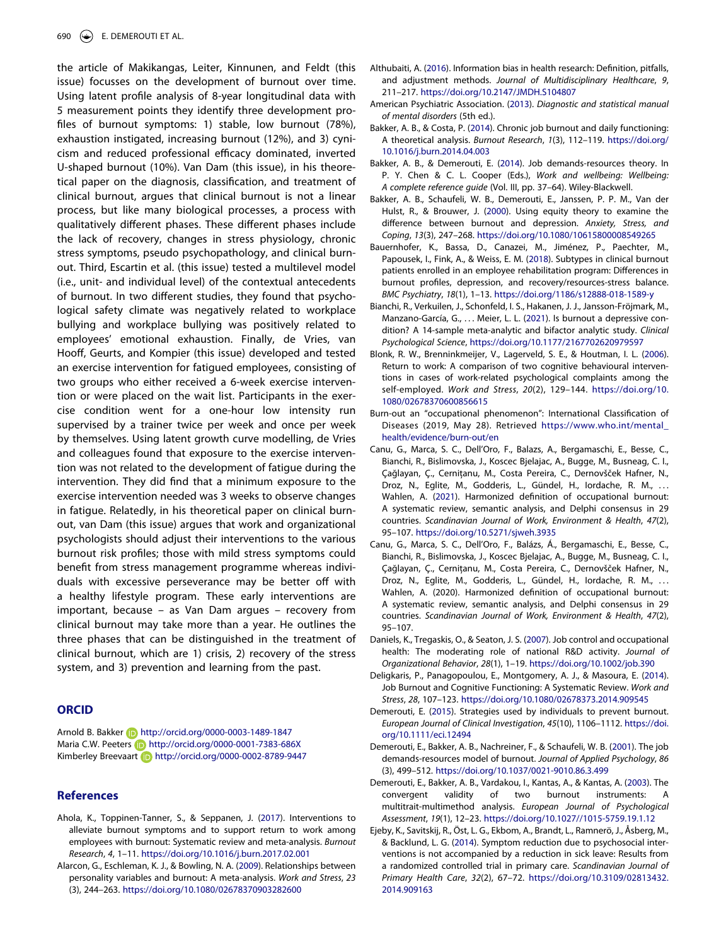the article of Makikangas, Leiter, Kinnunen, and Feldt (this issue) focusses on the development of burnout over time. Using latent profile analysis of 8-year longitudinal data with 5 measurement points they identify three development profiles of burnout symptoms: 1) stable, low burnout (78%), exhaustion instigated, increasing burnout (12%), and 3) cynicism and reduced professional efficacy dominated, inverted U-shaped burnout (10%). Van Dam (this issue), in his theoretical paper on the diagnosis, classification, and treatment of clinical burnout, argues that clinical burnout is not a linear process, but like many biological processes, a process with qualitatively different phases. These different phases include the lack of recovery, changes in stress physiology, chronic stress symptoms, pseudo psychopathology, and clinical burnout. Third, Escartin et al. (this issue) tested a multilevel model (i.e., unit- and individual level) of the contextual antecedents of burnout. In two different studies, they found that psychological safety climate was negatively related to workplace bullying and workplace bullying was positively related to employees' emotional exhaustion. Finally, de Vries, van Hooff, Geurts, and Kompier (this issue) developed and tested an exercise intervention for fatigued employees, consisting of two groups who either received a 6-week exercise intervention or were placed on the wait list. Participants in the exercise condition went for a one-hour low intensity run supervised by a trainer twice per week and once per week by themselves. Using latent growth curve modelling, de Vries and colleagues found that exposure to the exercise intervention was not related to the development of fatigue during the intervention. They did find that a minimum exposure to the exercise intervention needed was 3 weeks to observe changes in fatigue. Relatedly, in his theoretical paper on clinical burnout, van Dam (this issue) argues that work and organizational psychologists should adjust their interventions to the various burnout risk profiles; those with mild stress symptoms could benefit from stress management programme whereas individuals with excessive perseverance may be better off with a healthy lifestyle program. These early interventions are important, because – as Van Dam argues – recovery from clinical burnout may take more than a year. He outlines the three phases that can be distinguished in the treatment of clinical burnout, which are 1) crisis, 2) recovery of the stress system, and 3) prevention and learning from the past.

# **ORCID**

Arnold B. Bakker **http://orcid.org/0000-0003-1489-1847** Maria C.W. Peeters **in** http://orcid.org/0000-0001-7383-686X Kimberley Breevaart **in** http://orcid.org/0000-0002-8789-9447

# **References**

- <span id="page-5-14"></span>Ahola, K., Toppinen-Tanner, S., & Seppanen, J. ([2017](#page-4-0)). Interventions to alleviate burnout symptoms and to support return to work among employees with burnout: Systematic review and meta-analysis. *Burnout Research*, *4*, 1–11. <https://doi.org/10.1016/j.burn.2017.02.001>
- <span id="page-5-7"></span>Alarcon, G., Eschleman, K. J., & Bowling, N. A. [\(2009\)](#page-3-0). Relationships between personality variables and burnout: A meta-analysis. *Work and Stress*, *23*  (3), 244–263. <https://doi.org/10.1080/02678370903282600>
- <span id="page-5-5"></span>Althubaiti, A. [\(2016\)](#page-2-0). Information bias in health research: Definition, pitfalls, and adjustment methods. *Journal of Multidisciplinary Healthcare*, *9*, 211–217. <https://doi.org/10.2147/JMDH.S104807>
- <span id="page-5-9"></span>American Psychiatric Association. [\(2013](#page-3-1)). *Diagnostic and statistical manual of mental disorders* (5th ed.).
- <span id="page-5-12"></span>Bakker, A. B., & Costa, P. ([2014](#page-4-1)). Chronic job burnout and daily functioning: A theoretical analysis. *Burnout Research*, *1*(3), 112–119. [https://doi.org/](https://doi.org/10.1016/j.burn.2014.04.003) [10.1016/j.burn.2014.04.003](https://doi.org/10.1016/j.burn.2014.04.003)
- <span id="page-5-4"></span>Bakker, A. B., & Demerouti, E. ([2014](#page-2-1)). Job demands-resources theory. In P. Y. Chen & C. L. Cooper (Eds.), *Work and wellbeing: Wellbeing: A complete reference guide* (Vol. III, pp. 37–64). Wiley-Blackwell.
- <span id="page-5-11"></span>Bakker, A. B., Schaufeli, W. B., Demerouti, E., Janssen, P. P. M., Van der Hulst, R., & Brouwer, J. ([2000](#page-3-2)). Using equity theory to examine the difference between burnout and depression. *Anxiety, Stress, and Coping*, *13*(3), 247–268. <https://doi.org/10.1080/10615800008549265>
- <span id="page-5-8"></span>Bauernhofer, K., Bassa, D., Canazei, M., Jiménez, P., Paechter, M., Papousek, I., Fink, A., & Weiss, E. M. ([2018](#page-3-3)). Subtypes in clinical burnout patients enrolled in an employee rehabilitation program: Differences in burnout profiles, depression, and recovery/resources-stress balance. *BMC Psychiatry*, *18*(1), 1–13. <https://doi.org/1186/s12888-018-1589-y>
- <span id="page-5-10"></span>Bianchi, R., Verkuilen, J., Schonfeld, I. S., Hakanen, J. J., Jansson-Fröjmark, M., Manzano-García, G., ... Meier, L. L. ([2021](#page-3-4)). Is burnout a depressive condition? A 14-sample meta-analytic and bifactor analytic study. *Clinical Psychological Science*, <https://doi.org/10.1177/2167702620979597>
- <span id="page-5-15"></span>Blonk, R. W., Brenninkmeijer, V., Lagerveld, S. E., & Houtman, I. L. [\(2006\)](#page-4-2). Return to work: A comparison of two cognitive behavioural interventions in cases of work-related psychological complaints among the self-employed. *Work and Stress*, *20*(2), 129–144. [https://doi.org/10.](https://doi.org/10.1080/02678370600856615)  [1080/02678370600856615](https://doi.org/10.1080/02678370600856615)
- Burn-out an "occupational phenomenon": International Classification of Diseases (2019, May 28). Retrieved [https://www.who.int/mental\\_](https://www.who.int/mental_health/evidence/burn-out/en)  [health/evidence/burn-out/en](https://www.who.int/mental_health/evidence/burn-out/en)
- <span id="page-5-1"></span>Canu, G., Marca, S. C., Dell'Oro, F., Balazs, A., Bergamaschi, E., Besse, C., Bianchi, R., Bislimovska, J., Koscec Bjelajac, A., Bugge, M., Busneag, C. I., Çağlayan, Ç., Cernițanu, M., Costa Pereira, C., Dernovšček Hafner, N., Droz, N., Eglite, M., Godderis, L., Gündel, H., Iordache, R. M., ... Wahlen, A. ([2021](#page-1-2)). Harmonized definition of occupational burnout: A systematic review, semantic analysis, and Delphi consensus in 29 countries. *Scandinavian Journal of Work, Environment & Health*, *47*(2), 95–107. <https://doi.org/10.5271/sjweh.3935>
- Canu, G., Marca, S. C., Dell'Oro, F., Balázs, Á., Bergamaschi, E., Besse, C., Bianchi, R., Bislimovska, J., Koscec Bjelajac, A., Bugge, M., Busneag, C. I., Çağlayan, Ç., Cernițanu, M., Costa Pereira, C., Dernovšček Hafner, N., Droz, N., Eglite, M., Godderis, L., Gündel, H., Iordache, R. M., ... Wahlen, A. (2020). Harmonized definition of occupational burnout: A systematic review, semantic analysis, and Delphi consensus in 29 countries. *Scandinavian Journal of Work, Environment & Health*, *47*(2), 95–107.
- <span id="page-5-6"></span>Daniels, K., Tregaskis, O., & Seaton, J. S. [\(2007](#page-2-2)). Job control and occupational health: The moderating role of national R&D activity. *Journal of Organizational Behavior*, *28*(1), 1–19. <https://doi.org/10.1002/job.390>
- <span id="page-5-2"></span>Deligkaris, P., Panagopoulou, E., Montgomery, A. J., & Masoura, E. [\(2014\)](#page-1-3). Job Burnout and Cognitive Functioning: A Systematic Review. *Work and Stress*, *28*, 107–123. <https://doi.org/10.1080/02678373.2014.909545>
- <span id="page-5-13"></span>Demerouti, E. ([2015\)](#page-4-3). Strategies used by individuals to prevent burnout. *European Journal of Clinical Investigation*, *45*(10), 1106–1112. [https://doi.](https://doi.org/10.1111/eci.12494) [org/10.1111/eci.12494](https://doi.org/10.1111/eci.12494)
- <span id="page-5-3"></span>Demerouti, E., Bakker, A. B., Nachreiner, F., & Schaufeli, W. B. ([2001](#page-2-3)). The job demands-resources model of burnout. *Journal of Applied Psychology*, *86*  (3), 499–512. <https://doi.org/10.1037/0021-9010.86.3.499>
- <span id="page-5-0"></span>Demerouti, E., Bakker, A. B., Vardakou, I., Kantas, A., & Kantas, A. ([2003](#page-1-4)). The convergent validity of two burnout instruments: A multitrait-multimethod analysis. *European Journal of Psychological Assessment*, *19*(1), 12–23. <https://doi.org/10.1027//1015-5759.19.1.12>
- <span id="page-5-16"></span>Ejeby, K., Savitskij, R., Öst, L. G., Ekbom, A., Brandt, L., Ramnerö, J., Åsberg, M., & Backlund, L. G. ([2014](#page-4-2)). Symptom reduction due to psychosocial interventions is not accompanied by a reduction in sick leave: Results from a randomized controlled trial in primary care. *Scandinavian Journal of Primary Health Care*, *32*(2), 67–72. [https://doi.org/10.3109/02813432.](https://doi.org/10.3109/02813432.2014.909163) [2014.909163](https://doi.org/10.3109/02813432.2014.909163)